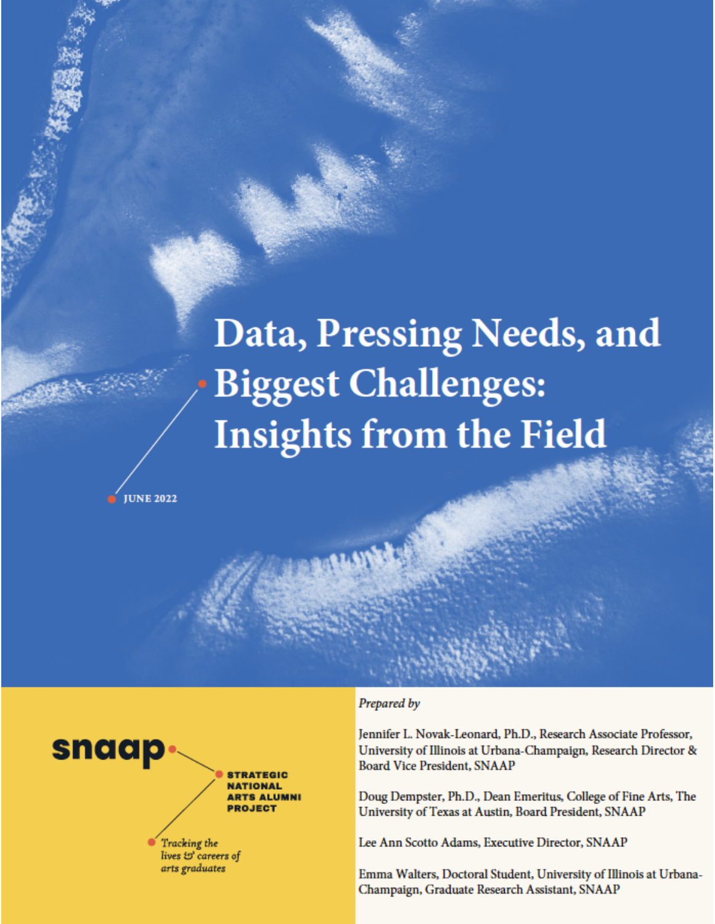# Data, Pressing Needs, and **Biggest Challenges: Insights from the Field**

**IUNE 2022** 



#### Prepared by

Jennifer L. Novak-Leonard, Ph.D., Research Associate Professor, University of Illinois at Urbana-Champaign, Research Director & **Board Vice President, SNAAP** 

Doug Dempster, Ph.D., Dean Emeritus, College of Fine Arts, The University of Texas at Austin, Board President, SNAAP

Lee Ann Scotto Adams, Executive Director, SNAAP

Emma Walters, Doctoral Student, University of Illinois at Urbana-Champaign, Graduate Research Assistant, SNAAP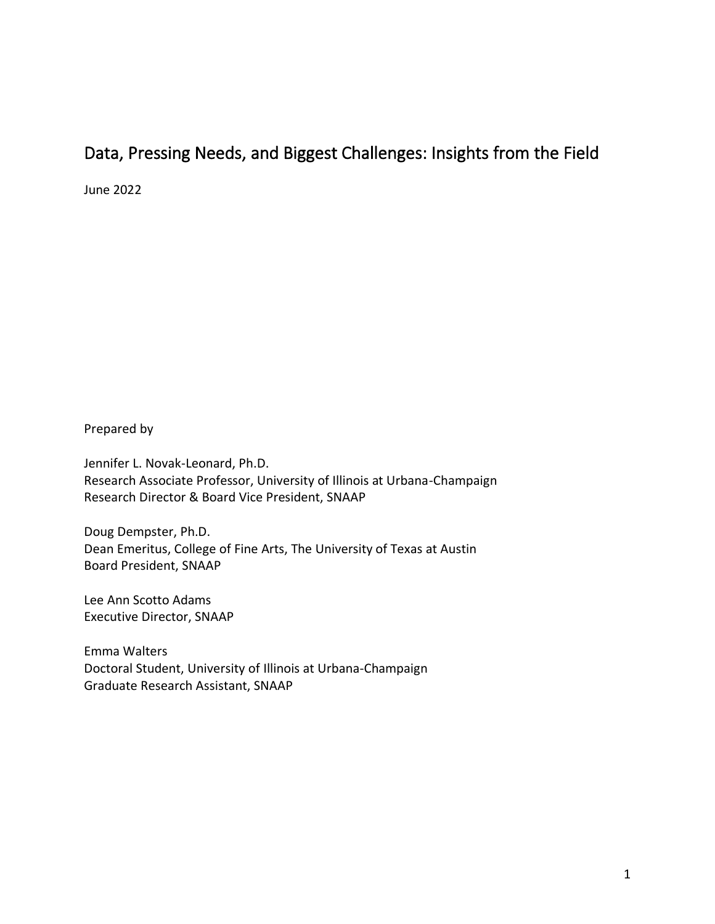## Data, Pressing Needs, and Biggest Challenges: Insights from the Field

June 2022

Prepared by

Jennifer L. Novak-Leonard, Ph.D. Research Associate Professor, University of Illinois at Urbana-Champaign Research Director & Board Vice President, SNAAP

Doug Dempster, Ph.D. Dean Emeritus, College of Fine Arts, The University of Texas at Austin Board President, SNAAP

Lee Ann Scotto Adams Executive Director, SNAAP

Emma Walters Doctoral Student, University of Illinois at Urbana-Champaign Graduate Research Assistant, SNAAP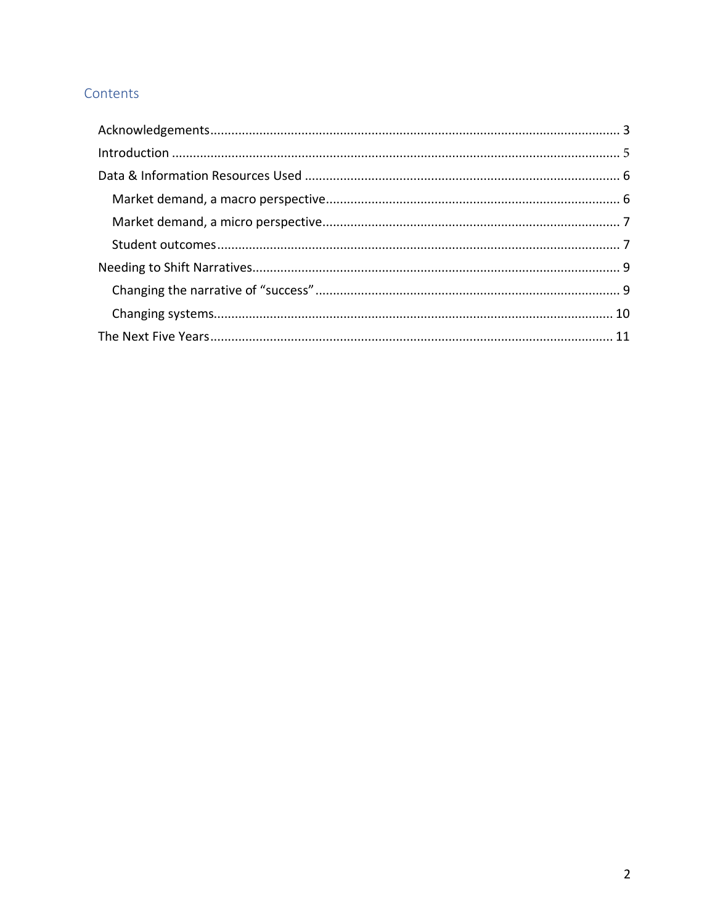## Contents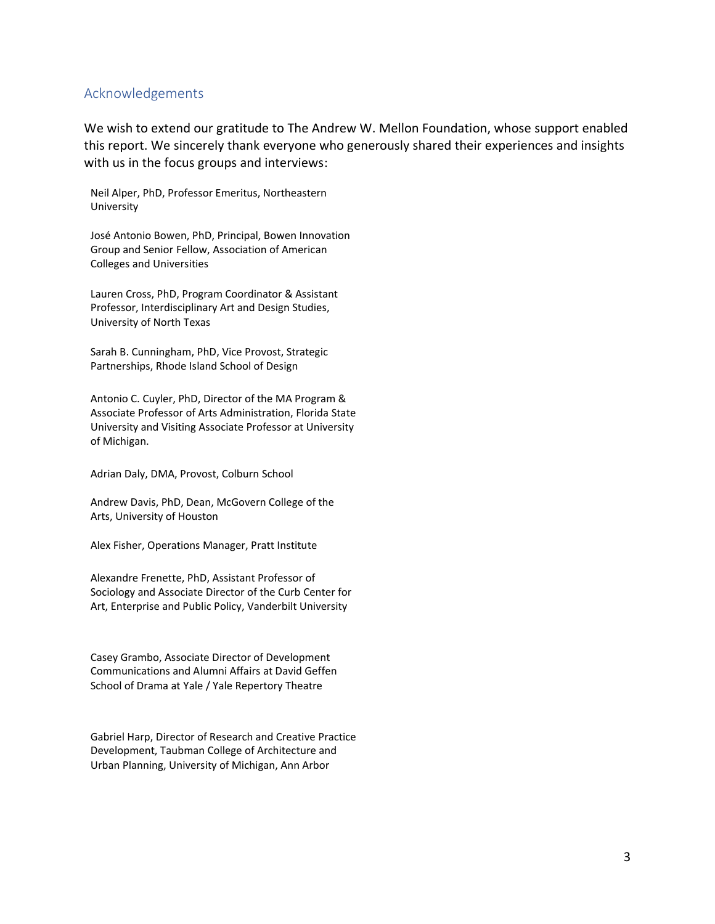#### <span id="page-3-0"></span>Acknowledgements

We wish to extend our gratitude to The Andrew W. Mellon Foundation, whose support enabled this report. We sincerely thank everyone who generously shared their experiences and insights with us in the focus groups and interviews:

Neil Alper, PhD, Professor Emeritus, Northeastern University

José Antonio Bowen, PhD, Principal, Bowen Innovation Group and Senior Fellow, Association of American Colleges and Universities

Lauren Cross, PhD, Program Coordinator & Assistant Professor, Interdisciplinary Art and Design Studies, University of North Texas

Sarah B. Cunningham, PhD, Vice Provost, Strategic Partnerships, Rhode Island School of Design

Antonio C. Cuyler, PhD, Director of the MA Program & Associate Professor of Arts Administration, Florida State University and Visiting Associate Professor at University of Michigan.

Adrian Daly, DMA, Provost, Colburn School

Andrew Davis, PhD, Dean, McGovern College of the Arts, University of Houston

Alex Fisher, Operations Manager, Pratt Institute

Alexandre Frenette, PhD, Assistant Professor of Sociology and Associate Director of the Curb Center for Art, Enterprise and Public Policy, Vanderbilt University

Casey Grambo, Associate Director of Development Communications and Alumni Affairs at David Geffen School of Drama at Yale / Yale Repertory Theatre

Gabriel Harp, Director of Research and Creative Practice Development, Taubman College of Architecture and Urban Planning, University of Michigan, Ann Arbor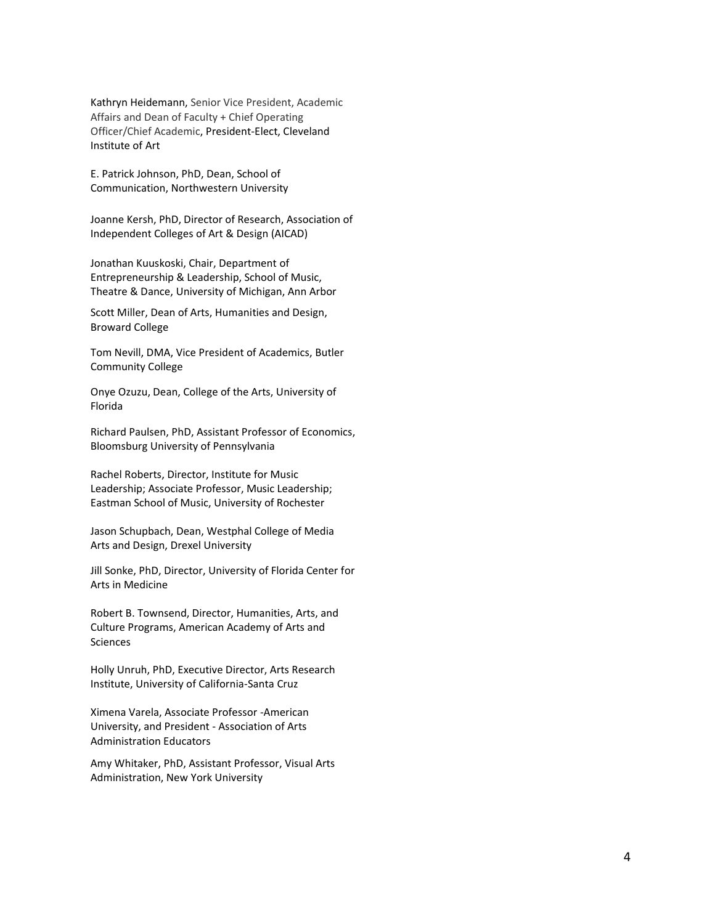Kathryn Heidemann, Senior Vice President, Academic Affairs and Dean of Faculty + Chief Operating Officer/Chief Academic, President-Elect, Cleveland Institute of Art

E. Patrick Johnson, PhD, Dean, School of Communication, Northwestern University

Joanne Kersh, PhD, Director of Research, Association of Independent Colleges of Art & Design (AICAD)

Jonathan Kuuskoski, Chair, Department of Entrepreneurship & Leadership, School of Music, Theatre & Dance, University of Michigan, Ann Arbor

Scott Miller, Dean of Arts, Humanities and Design, Broward College

Tom Nevill, DMA, Vice President of Academics, Butler Community College

Onye Ozuzu, Dean, College of the Arts, University of Florida

Richard Paulsen, PhD, Assistant Professor of Economics, Bloomsburg University of Pennsylvania

Rachel Roberts, Director, Institute for Music Leadership; Associate Professor, Music Leadership; Eastman School of Music, University of Rochester

Jason Schupbach, Dean, Westphal College of Media Arts and Design, Drexel University

Jill Sonke, PhD, Director, University of Florida Center for Arts in Medicine

Robert B. Townsend, Director, Humanities, Arts, and Culture Programs, American Academy of Arts and Sciences

Holly Unruh, PhD, Executive Director, Arts Research Institute, University of California-Santa Cruz

Ximena Varela, Associate Professor -American University, and President - Association of Arts Administration Educators

<span id="page-4-0"></span>Amy Whitaker, PhD, Assistant Professor, Visual Arts Administration, New York University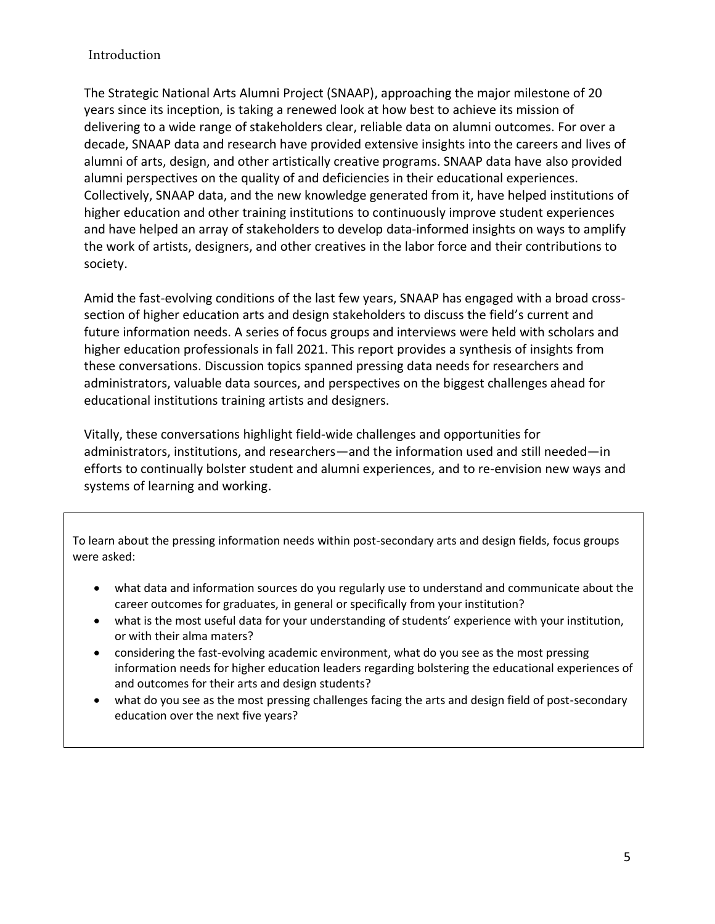#### Introduction

The Strategic National Arts Alumni Project (SNAAP), approaching the major milestone of 20 years since its inception, is taking a renewed look at how best to achieve its mission of delivering to a wide range of stakeholders clear, reliable data on alumni outcomes. For over a decade, SNAAP data and research have provided extensive insights into the careers and lives of alumni of arts, design, and other artistically creative programs. SNAAP data have also provided alumni perspectives on the quality of and deficiencies in their educational experiences. Collectively, SNAAP data, and the new knowledge generated from it, have helped institutions of higher education and other training institutions to continuously improve student experiences and have helped an array of stakeholders to develop data-informed insights on ways to amplify the work of artists, designers, and other creatives in the labor force and their contributions to society.

Amid the fast-evolving conditions of the last few years, SNAAP has engaged with a broad crosssection of higher education arts and design stakeholders to discuss the field's current and future information needs. A series of focus groups and interviews were held with scholars and higher education professionals in fall 2021. This report provides a synthesis of insights from these conversations. Discussion topics spanned pressing data needs for researchers and administrators, valuable data sources, and perspectives on the biggest challenges ahead for educational institutions training artists and designers.

Vitally, these conversations highlight field-wide challenges and opportunities for administrators, institutions, and researchers—and the information used and still needed—in efforts to continually bolster student and alumni experiences, and to re-envision new ways and systems of learning and working.

To learn about the pressing information needs within post-secondary arts and design fields, focus groups were asked:

- what data and information sources do you regularly use to understand and communicate about the career outcomes for graduates, in general or specifically from your institution?
- what is the most useful data for your understanding of students' experience with your institution, or with their alma maters?
- considering the fast-evolving academic environment, what do you see as the most pressing information needs for higher education leaders regarding bolstering the educational experiences of and outcomes for their arts and design students?
- what do you see as the most pressing challenges facing the arts and design field of post-secondary education over the next five years?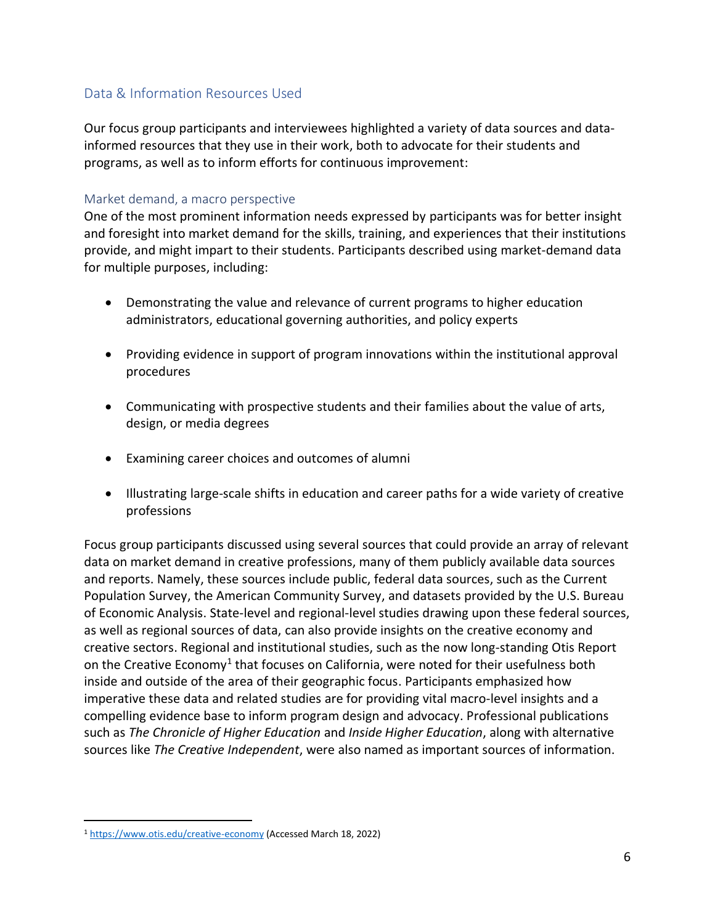#### <span id="page-6-0"></span>Data & Information Resources Used

Our focus group participants and interviewees highlighted a variety of data sources and datainformed resources that they use in their work, both to advocate for their students and programs, as well as to inform efforts for continuous improvement:

#### <span id="page-6-1"></span>Market demand, a macro perspective

One of the most prominent information needs expressed by participants was for better insight and foresight into market demand for the skills, training, and experiences that their institutions provide, and might impart to their students. Participants described using market-demand data for multiple purposes, including:

- Demonstrating the value and relevance of current programs to higher education administrators, educational governing authorities, and policy experts
- Providing evidence in support of program innovations within the institutional approval procedures
- Communicating with prospective students and their families about the value of arts, design, or media degrees
- Examining career choices and outcomes of alumni
- Illustrating large-scale shifts in education and career paths for a wide variety of creative professions

Focus group participants discussed using several sources that could provide an array of relevant data on market demand in creative professions, many of them publicly available data sources and reports. Namely, these sources include public, federal data sources, such as the Current Population Survey, the American Community Survey, and datasets provided by the U.S. Bureau of Economic Analysis. State-level and regional-level studies drawing upon these federal sources, as well as regional sources of data, can also provide insights on the creative economy and creative sectors. Regional and institutional studies, such as the now long-standing Otis Report on the Creative Economy<sup>1</sup> that focuses on California, were noted for their usefulness both inside and outside of the area of their geographic focus. Participants emphasized how imperative these data and related studies are for providing vital macro-level insights and a compelling evidence base to inform program design and advocacy. Professional publications such as *The Chronicle of Higher Education* and *Inside Higher Education*, along with alternative sources like *The Creative Independent*, were also named as important sources of information.

<sup>1</sup> <https://www.otis.edu/creative-economy> (Accessed March 18, 2022)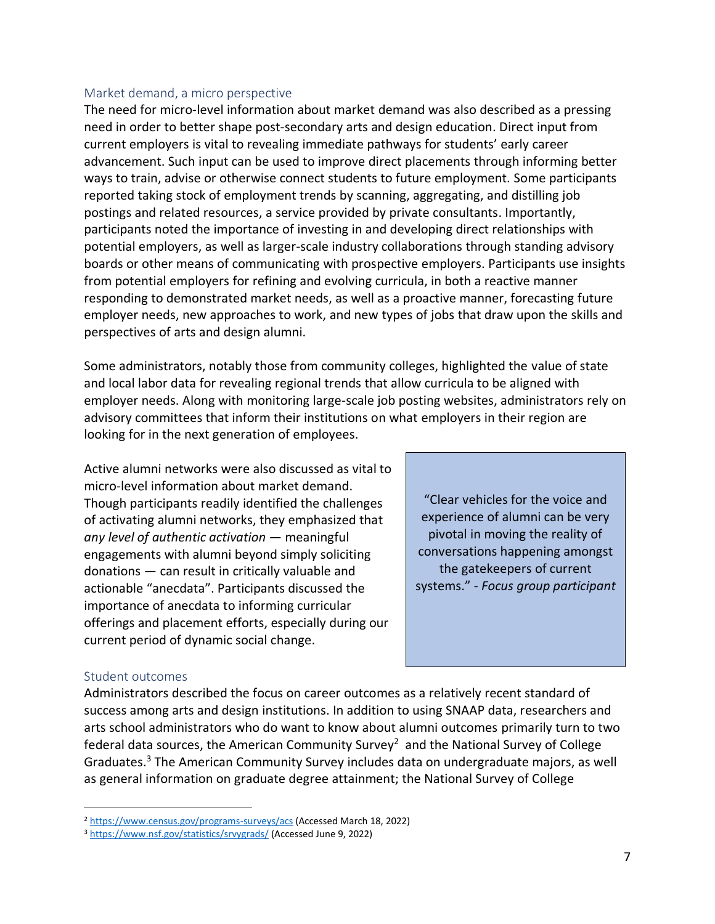#### <span id="page-7-0"></span>Market demand, a micro perspective

The need for micro-level information about market demand was also described as a pressing need in order to better shape post-secondary arts and design education. Direct input from current employers is vital to revealing immediate pathways for students' early career advancement. Such input can be used to improve direct placements through informing better ways to train, advise or otherwise connect students to future employment. Some participants reported taking stock of employment trends by scanning, aggregating, and distilling job postings and related resources, a service provided by private consultants. Importantly, participants noted the importance of investing in and developing direct relationships with potential employers, as well as larger-scale industry collaborations through standing advisory boards or other means of communicating with prospective employers. Participants use insights from potential employers for refining and evolving curricula, in both a reactive manner responding to demonstrated market needs, as well as a proactive manner, forecasting future employer needs, new approaches to work, and new types of jobs that draw upon the skills and perspectives of arts and design alumni.

Some administrators, notably those from community colleges, highlighted the value of state and local labor data for revealing regional trends that allow curricula to be aligned with employer needs. Along with monitoring large-scale job posting websites, administrators rely on advisory committees that inform their institutions on what employers in their region are looking for in the next generation of employees.

Active alumni networks were also discussed as vital to micro-level information about market demand. Though participants readily identified the challenges of activating alumni networks, they emphasized that *any level of authentic activation* — meaningful engagements with alumni beyond simply soliciting donations — can result in critically valuable and actionable "anecdata". Participants discussed the importance of anecdata to informing curricular offerings and placement efforts, especially during our current period of dynamic social change.

"Clear vehicles for the voice and experience of alumni can be very pivotal in moving the reality of conversations happening amongst the gatekeepers of current systems." - *Focus group participant*

#### <span id="page-7-1"></span>Student outcomes

Administrators described the focus on career outcomes as a relatively recent standard of success among arts and design institutions. In addition to using SNAAP data, researchers and arts school administrators who do want to know about alumni outcomes primarily turn to two federal data sources, the American Community Survey<sup>2</sup> and the National Survey of College Graduates. <sup>3</sup> The American Community Survey includes data on undergraduate majors, as well as general information on graduate degree attainment; the National Survey of College

<sup>2</sup> <https://www.census.gov/programs-surveys/acs> (Accessed March 18, 2022)

<sup>3</sup> <https://www.nsf.gov/statistics/srvygrads/> (Accessed June 9, 2022)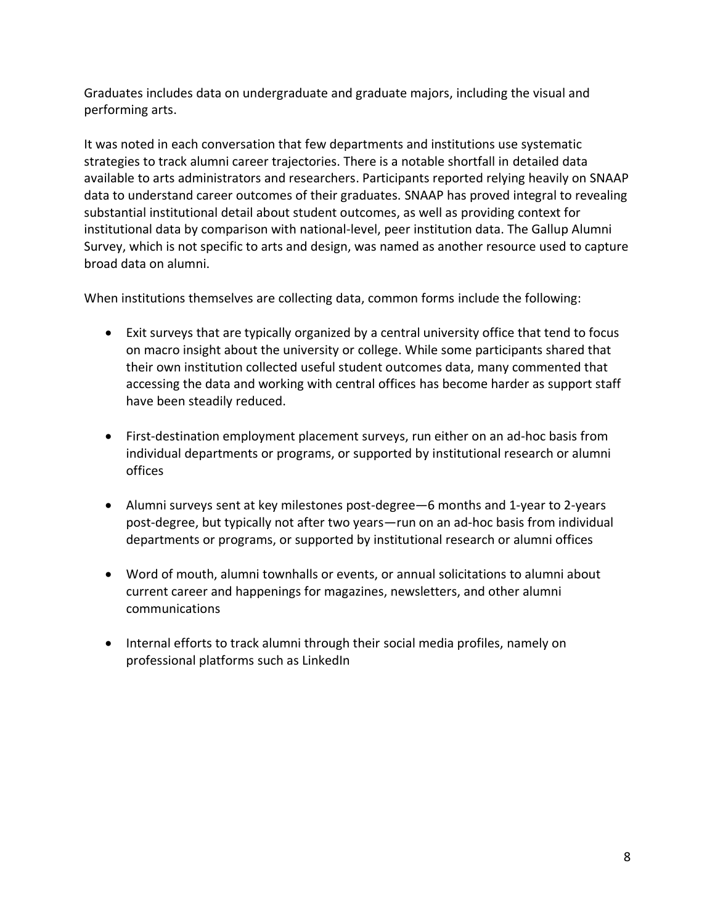Graduates includes data on undergraduate and graduate majors, including the visual and performing arts.

It was noted in each conversation that few departments and institutions use systematic strategies to track alumni career trajectories. There is a notable shortfall in detailed data available to arts administrators and researchers. Participants reported relying heavily on SNAAP data to understand career outcomes of their graduates. SNAAP has proved integral to revealing substantial institutional detail about student outcomes, as well as providing context for institutional data by comparison with national-level, peer institution data. The Gallup Alumni Survey, which is not specific to arts and design, was named as another resource used to capture broad data on alumni.

When institutions themselves are collecting data, common forms include the following:

- Exit surveys that are typically organized by a central university office that tend to focus on macro insight about the university or college. While some participants shared that their own institution collected useful student outcomes data, many commented that accessing the data and working with central offices has become harder as support staff have been steadily reduced.
- First-destination employment placement surveys, run either on an ad-hoc basis from individual departments or programs, or supported by institutional research or alumni offices
- Alumni surveys sent at key milestones post-degree—6 months and 1-year to 2-years post-degree, but typically not after two years—run on an ad-hoc basis from individual departments or programs, or supported by institutional research or alumni offices
- Word of mouth, alumni townhalls or events, or annual solicitations to alumni about current career and happenings for magazines, newsletters, and other alumni communications
- Internal efforts to track alumni through their social media profiles, namely on professional platforms such as LinkedIn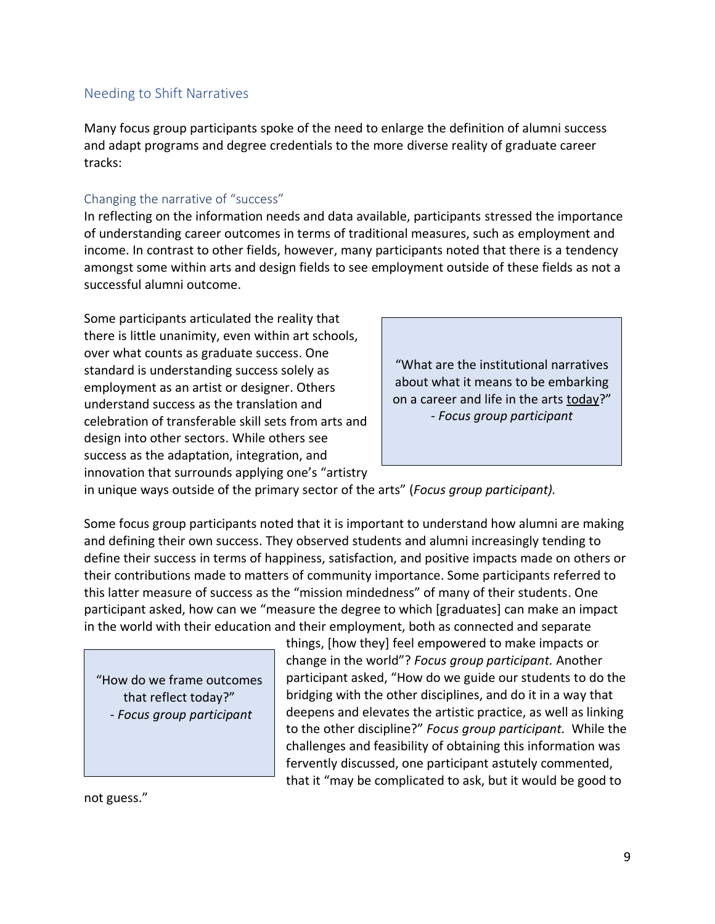#### <span id="page-9-0"></span>Needing to Shift Narratives

Many focus group participants spoke of the need to enlarge the definition of alumni success and adapt programs and degree credentials to the more diverse reality of graduate career tracks:

#### <span id="page-9-1"></span>Changing the narrative of "success"

In reflecting on the information needs and data available, participants stressed the importance of understanding career outcomes in terms of traditional measures, such as employment and income. In contrast to other fields, however, many participants noted that there is a tendency amongst some within arts and design fields to see employment outside of these fields as not a successful alumni outcome.

Some participants articulated the reality that there is little unanimity, even within art schools, over what counts as graduate success. One standard is understanding success solely as employment as an artist or designer. Others understand success as the translation and celebration of transferable skill sets from arts and design into other sectors. While others see success as the adaptation, integration, and innovation that surrounds applying one's "artistry



in unique ways outside of the primary sector of the arts" (*Focus group participant).*

Some focus group participants noted that it is important to understand how alumni are making and defining their own success. They observed students and alumni increasingly tending to define their success in terms of happiness, satisfaction, and positive impacts made on others or their contributions made to matters of community importance. Some participants referred to this latter measure of success as the "mission mindedness" of many of their students. One participant asked, how can we "measure the degree to which [graduates] can make an impact in the world with their education and their employment, both as connected and separate

"How do we frame outcomes that reflect today?" - *Focus group participant*

things, [how they] feel empowered to make impacts or change in the world"? *Focus group participant.* Another participant asked, "How do we guide our students to do the bridging with the other disciplines, and do it in a way that deepens and elevates the artistic practice, as well as linking to the other discipline?" *Focus group participant.* While the challenges and feasibility of obtaining this information was fervently discussed, one participant astutely commented, that it "may be complicated to ask, but it would be good to

not guess."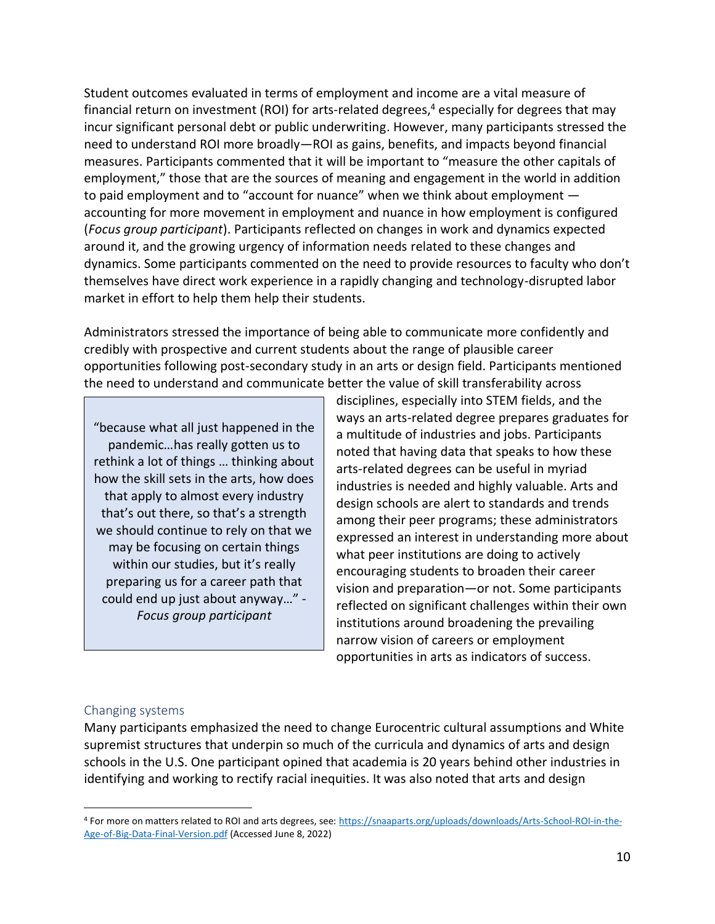Student outcomes evaluated in terms of employment and income are a vital measure of financial return on investment (ROI) for arts-related degrees, <sup>4</sup> especially for degrees that may incur significant personal debt or public underwriting. However, many participants stressed the need to understand ROI more broadly—ROI as gains, benefits, and impacts beyond financial measures. Participants commented that it will be important to "measure the other capitals of employment," those that are the sources of meaning and engagement in the world in addition to paid employment and to "account for nuance" when we think about employment accounting for more movement in employment and nuance in how employment is configured (*Focus group participant*). Participants reflected on changes in work and dynamics expected around it, and the growing urgency of information needs related to these changes and dynamics. Some participants commented on the need to provide resources to faculty who don't themselves have direct work experience in a rapidly changing and technology-disrupted labor market in effort to help them help their students.

Administrators stressed the importance of being able to communicate more confidently and credibly with prospective and current students about the range of plausible career opportunities following post-secondary study in an arts or design field. Participants mentioned the need to understand and communicate better the value of skill transferability across

"because what all just happened in the pandemic…has really gotten us to rethink a lot of things … thinking about how the skill sets in the arts, how does that apply to almost every industry that's out there, so that's a strength we should continue to rely on that we may be focusing on certain things within our studies, but it's really preparing us for a career path that could end up just about anyway…" - *Focus group participant*

disciplines, especially into STEM fields, and the ways an arts-related degree prepares graduates for a multitude of industries and jobs. Participants noted that having data that speaks to how these arts-related degrees can be useful in myriad industries is needed and highly valuable. Arts and design schools are alert to standards and trends among their peer programs; these administrators expressed an interest in understanding more about what peer institutions are doing to actively encouraging students to broaden their career vision and preparation—or not. Some participants reflected on significant challenges within their own institutions around broadening the prevailing narrow vision of careers or employment opportunities in arts as indicators of success.

#### <span id="page-10-0"></span>Changing systems

Many participants emphasized the need to change Eurocentric cultural assumptions and White supremist structures that underpin so much of the curricula and dynamics of arts and design schools in the U.S. One participant opined that academia is 20 years behind other industries in identifying and working to rectify racial inequities. It was also noted that arts and design

<sup>4</sup> For more on matters related to ROI and arts degrees, see[: https://snaaparts.org/uploads/downloads/Arts-School-ROI-in-the-](https://snaaparts.org/uploads/downloads/Arts-School-ROI-in-the-Age-of-Big-Data-Final-Version.pdf)[Age-of-Big-Data-Final-Version.pdf](https://snaaparts.org/uploads/downloads/Arts-School-ROI-in-the-Age-of-Big-Data-Final-Version.pdf) (Accessed June 8, 2022)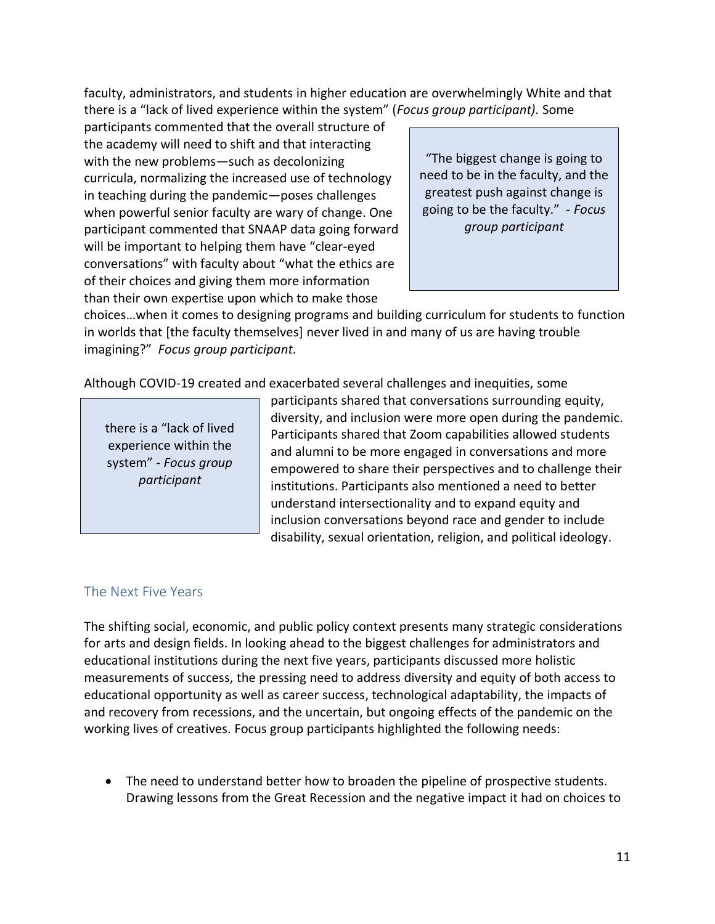faculty, administrators, and students in higher education are overwhelmingly White and that there is a "lack of lived experience within the system" (*Focus group participant).* Some

participants commented that the overall structure of the academy will need to shift and that interacting with the new problems—such as decolonizing curricula, normalizing the increased use of technology in teaching during the pandemic—poses challenges when powerful senior faculty are wary of change. One participant commented that SNAAP data going forward will be important to helping them have "clear-eyed conversations" with faculty about "what the ethics are of their choices and giving them more information than their own expertise upon which to make those

"The biggest change is going to need to be in the faculty, and the greatest push against change is going to be the faculty." - *Focus group participant*

choices…when it comes to designing programs and building curriculum for students to function in worlds that [the faculty themselves] never lived in and many of us are having trouble imagining?" *Focus group participant.*

Although COVID-19 created and exacerbated several challenges and inequities, some

there is a "lack of lived experience within the system" - *Focus group participant*

participants shared that conversations surrounding equity, diversity, and inclusion were more open during the pandemic. Participants shared that Zoom capabilities allowed students and alumni to be more engaged in conversations and more empowered to share their perspectives and to challenge their institutions. Participants also mentioned a need to better understand intersectionality and to expand equity and inclusion conversations beyond race and gender to include disability, sexual orientation, religion, and political ideology.

### <span id="page-11-0"></span>The Next Five Years

The shifting social, economic, and public policy context presents many strategic considerations for arts and design fields. In looking ahead to the biggest challenges for administrators and educational institutions during the next five years, participants discussed more holistic measurements of success, the pressing need to address diversity and equity of both access to educational opportunity as well as career success, technological adaptability, the impacts of and recovery from recessions, and the uncertain, but ongoing effects of the pandemic on the working lives of creatives. Focus group participants highlighted the following needs:

• The need to understand better how to broaden the pipeline of prospective students. Drawing lessons from the Great Recession and the negative impact it had on choices to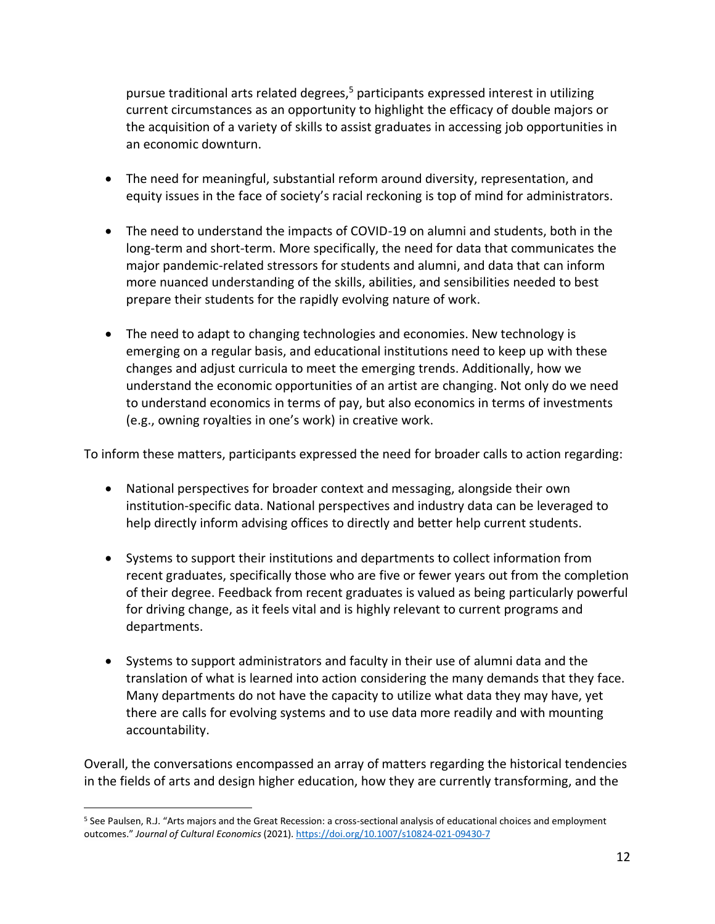pursue traditional arts related degrees,<sup>5</sup> participants expressed interest in utilizing current circumstances as an opportunity to highlight the efficacy of double majors or the acquisition of a variety of skills to assist graduates in accessing job opportunities in an economic downturn.

- The need for meaningful, substantial reform around diversity, representation, and equity issues in the face of society's racial reckoning is top of mind for administrators.
- The need to understand the impacts of COVID-19 on alumni and students, both in the long-term and short-term. More specifically, the need for data that communicates the major pandemic-related stressors for students and alumni, and data that can inform more nuanced understanding of the skills, abilities, and sensibilities needed to best prepare their students for the rapidly evolving nature of work.
- The need to adapt to changing technologies and economies. New technology is emerging on a regular basis, and educational institutions need to keep up with these changes and adjust curricula to meet the emerging trends. Additionally, how we understand the economic opportunities of an artist are changing. Not only do we need to understand economics in terms of pay, but also economics in terms of investments (e.g., owning royalties in one's work) in creative work.

To inform these matters, participants expressed the need for broader calls to action regarding:

- National perspectives for broader context and messaging, alongside their own institution-specific data. National perspectives and industry data can be leveraged to help directly inform advising offices to directly and better help current students.
- Systems to support their institutions and departments to collect information from recent graduates, specifically those who are five or fewer years out from the completion of their degree. Feedback from recent graduates is valued as being particularly powerful for driving change, as it feels vital and is highly relevant to current programs and departments.
- Systems to support administrators and faculty in their use of alumni data and the translation of what is learned into action considering the many demands that they face. Many departments do not have the capacity to utilize what data they may have, yet there are calls for evolving systems and to use data more readily and with mounting accountability.

Overall, the conversations encompassed an array of matters regarding the historical tendencies in the fields of arts and design higher education, how they are currently transforming, and the

<sup>5</sup> See Paulsen, R.J. "Arts majors and the Great Recession: a cross-sectional analysis of educational choices and employment outcomes." *Journal of Cultural Economics* (2021)[. https://doi.org/10.1007/s10824-021-09430-7](https://doi.org/10.1007/s10824-021-09430-7)